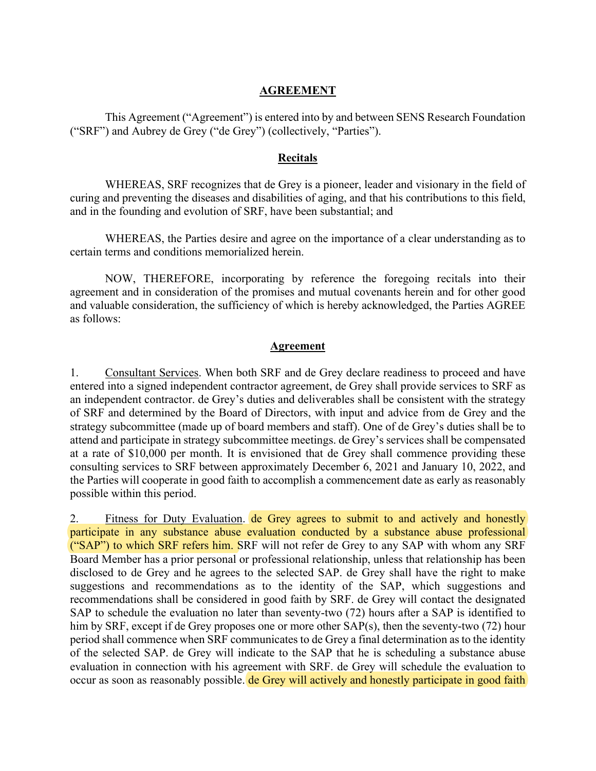## **AGREEMENT**

This Agreement ("Agreement") is entered into by and between SENS Research Foundation ("SRF") and Aubrey de Grey ("de Grey") (collectively, "Parties").

## **Recitals**

WHEREAS, SRF recognizes that de Grey is a pioneer, leader and visionary in the field of curing and preventing the diseases and disabilities of aging, and that his contributions to this field, and in the founding and evolution of SRF, have been substantial; and

WHEREAS, the Parties desire and agree on the importance of a clear understanding as to certain terms and conditions memorialized herein.

NOW, THEREFORE, incorporating by reference the foregoing recitals into their agreement and in consideration of the promises and mutual covenants herein and for other good and valuable consideration, the sufficiency of which is hereby acknowledged, the Parties AGREE as follows:

## **Agreement**

1. Consultant Services. When both SRF and de Grey declare readiness to proceed and have entered into a signed independent contractor agreement, de Grey shall provide services to SRF as an independent contractor. de Grey's duties and deliverables shall be consistent with the strategy of SRF and determined by the Board of Directors, with input and advice from de Grey and the strategy subcommittee (made up of board members and staff). One of de Grey's duties shall be to attend and participate in strategy subcommittee meetings. de Grey's services shall be compensated at a rate of \$10,000 per month. It is envisioned that de Grey shall commence providing these consulting services to SRF between approximately December 6, 2021 and January 10, 2022, and the Parties will cooperate in good faith to accomplish a commencement date as early as reasonably possible within this period.

2. Fitness for Duty Evaluation. de Grey agrees to submit to and actively and honestly participate in any substance abuse evaluation conducted by a substance abuse professional ("SAP") to which SRF refers him. SRF will not refer de Grey to any SAP with whom any SRF Board Member has a prior personal or professional relationship, unless that relationship has been disclosed to de Grey and he agrees to the selected SAP. de Grey shall have the right to make suggestions and recommendations as to the identity of the SAP, which suggestions and recommendations shall be considered in good faith by SRF. de Grey will contact the designated SAP to schedule the evaluation no later than seventy-two (72) hours after a SAP is identified to him by SRF, except if de Grey proposes one or more other SAP(s), then the seventy-two (72) hour period shall commence when SRF communicates to de Grey a final determination as to the identity of the selected SAP. de Grey will indicate to the SAP that he is scheduling a substance abuse evaluation in connection with his agreement with SRF. de Grey will schedule the evaluation to occur as soon as reasonably possible. de Grey will actively and honestly participate in good faith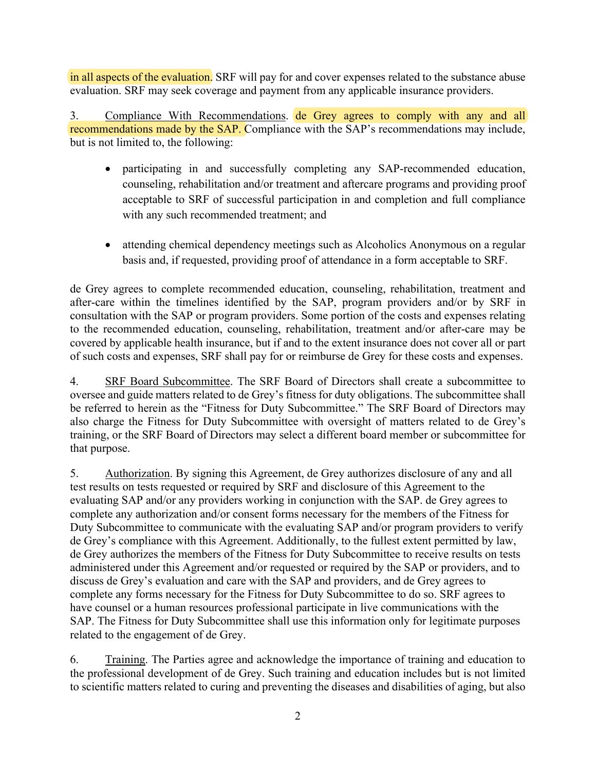in all aspects of the evaluation. SRF will pay for and cover expenses related to the substance abuse evaluation. SRF may seek coverage and payment from any applicable insurance providers.

3. Compliance With Recommendations. de Grey agrees to comply with any and all recommendations made by the SAP. Compliance with the SAP's recommendations may include, but is not limited to, the following:

- participating in and successfully completing any SAP-recommended education, counseling, rehabilitation and/or treatment and aftercare programs and providing proof acceptable to SRF of successful participation in and completion and full compliance with any such recommended treatment; and
- attending chemical dependency meetings such as Alcoholics Anonymous on a regular basis and, if requested, providing proof of attendance in a form acceptable to SRF.

de Grey agrees to complete recommended education, counseling, rehabilitation, treatment and after-care within the timelines identified by the SAP, program providers and/or by SRF in consultation with the SAP or program providers. Some portion of the costs and expenses relating to the recommended education, counseling, rehabilitation, treatment and/or after-care may be covered by applicable health insurance, but if and to the extent insurance does not cover all or part of such costs and expenses, SRF shall pay for or reimburse de Grey for these costs and expenses.

4. SRF Board Subcommittee. The SRF Board of Directors shall create a subcommittee to oversee and guide matters related to de Grey's fitness for duty obligations. The subcommittee shall be referred to herein as the "Fitness for Duty Subcommittee." The SRF Board of Directors may also charge the Fitness for Duty Subcommittee with oversight of matters related to de Grey's training, or the SRF Board of Directors may select a different board member or subcommittee for that purpose.

5. Authorization. By signing this Agreement, de Grey authorizes disclosure of any and all test results on tests requested or required by SRF and disclosure of this Agreement to the evaluating SAP and/or any providers working in conjunction with the SAP. de Grey agrees to complete any authorization and/or consent forms necessary for the members of the Fitness for Duty Subcommittee to communicate with the evaluating SAP and/or program providers to verify de Grey's compliance with this Agreement. Additionally, to the fullest extent permitted by law, de Grey authorizes the members of the Fitness for Duty Subcommittee to receive results on tests administered under this Agreement and/or requested or required by the SAP or providers, and to discuss de Grey's evaluation and care with the SAP and providers, and de Grey agrees to complete any forms necessary for the Fitness for Duty Subcommittee to do so. SRF agrees to have counsel or a human resources professional participate in live communications with the SAP. The Fitness for Duty Subcommittee shall use this information only for legitimate purposes related to the engagement of de Grey.

6. Training. The Parties agree and acknowledge the importance of training and education to the professional development of de Grey. Such training and education includes but is not limited to scientific matters related to curing and preventing the diseases and disabilities of aging, but also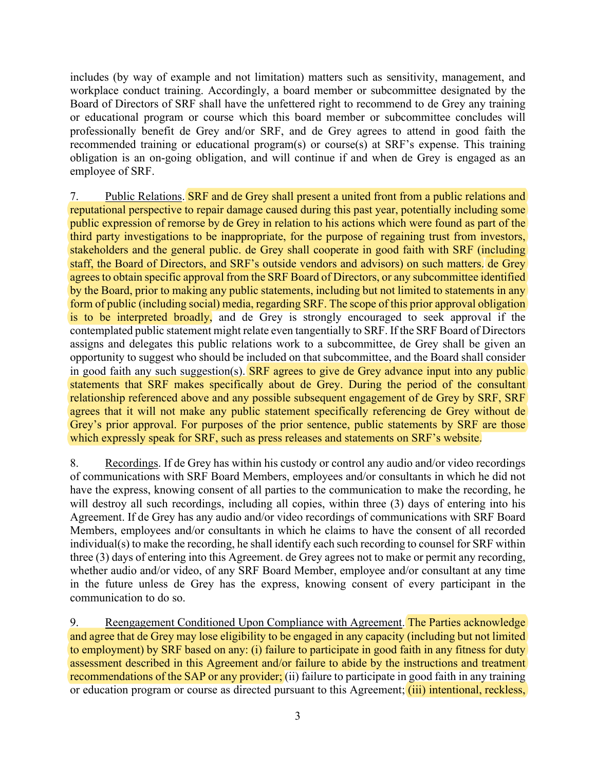includes (by way of example and not limitation) matters such as sensitivity, management, and workplace conduct training. Accordingly, a board member or subcommittee designated by the Board of Directors of SRF shall have the unfettered right to recommend to de Grey any training or educational program or course which this board member or subcommittee concludes will professionally benefit de Grey and/or SRF, and de Grey agrees to attend in good faith the recommended training or educational program(s) or course(s) at SRF's expense. This training obligation is an on-going obligation, and will continue if and when de Grey is engaged as an employee of SRF.

7. Public Relations. SRF and de Grey shall present a united front from a public relations and reputational perspective to repair damage caused during this past year, potentially including some public expression of remorse by de Grey in relation to his actions which were found as part of the third party investigations to be inappropriate, for the purpose of regaining trust from investors, stakeholders and the general public. de Grey shall cooperate in good faith with SRF (including staff, the Board of Directors, and SRF's outside vendors and advisors) on such matters. de Grey agrees to obtain specific approval from the SRF Board of Directors, or any subcommittee identified by the Board, prior to making any public statements, including but not limited to statements in any form of public (including social) media, regarding SRF. The scope of this prior approval obligation is to be interpreted broadly, and de Grey is strongly encouraged to seek approval if the contemplated public statement might relate even tangentially to SRF. If the SRF Board of Directors assigns and delegates this public relations work to a subcommittee, de Grey shall be given an opportunity to suggest who should be included on that subcommittee, and the Board shall consider in good faith any such suggestion(s). **SRF** agrees to give de Grey advance input into any public statements that SRF makes specifically about de Grey. During the period of the consultant relationship referenced above and any possible subsequent engagement of de Grey by SRF, SRF agrees that it will not make any public statement specifically referencing de Grey without de Grey's prior approval. For purposes of the prior sentence, public statements by SRF are those which expressly speak for SRF, such as press releases and statements on SRF's website.

8. Recordings. If de Grey has within his custody or control any audio and/or video recordings of communications with SRF Board Members, employees and/or consultants in which he did not have the express, knowing consent of all parties to the communication to make the recording, he will destroy all such recordings, including all copies, within three (3) days of entering into his Agreement. If de Grey has any audio and/or video recordings of communications with SRF Board Members, employees and/or consultants in which he claims to have the consent of all recorded individual(s) to make the recording, he shall identify each such recording to counsel for SRF within three (3) days of entering into this Agreement. de Grey agrees not to make or permit any recording, whether audio and/or video, of any SRF Board Member, employee and/or consultant at any time in the future unless de Grey has the express, knowing consent of every participant in the communication to do so.

9. Reengagement Conditioned Upon Compliance with Agreement. The Parties acknowledge and agree that de Grey may lose eligibility to be engaged in any capacity (including but not limited to employment) by SRF based on any: (i) failure to participate in good faith in any fitness for duty assessment described in this Agreement and/or failure to abide by the instructions and treatment recommendations of the SAP or any provider; (ii) failure to participate in good faith in any training or education program or course as directed pursuant to this Agreement; *(iii)* intentional, reckless,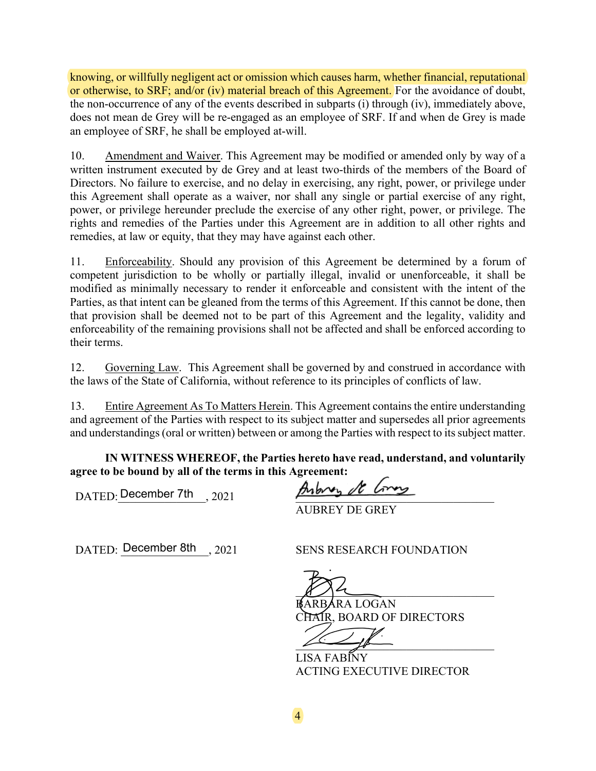knowing, or willfully negligent act or omission which causes harm, whether financial, reputational or otherwise, to SRF; and/or (iv) material breach of this Agreement. For the avoidance of doubt, the non-occurrence of any of the events described in subparts (i) through (iv), immediately above, does not mean de Grey will be re-engaged as an employee of SRF. If and when de Grey is made an employee of SRF, he shall be employed at-will.

10. Amendment and Waiver. This Agreement may be modified or amended only by way of a written instrument executed by de Grey and at least two-thirds of the members of the Board of Directors. No failure to exercise, and no delay in exercising, any right, power, or privilege under this Agreement shall operate as a waiver, nor shall any single or partial exercise of any right, power, or privilege hereunder preclude the exercise of any other right, power, or privilege. The rights and remedies of the Parties under this Agreement are in addition to all other rights and remedies, at law or equity, that they may have against each other.

11. Enforceability. Should any provision of this Agreement be determined by a forum of competent jurisdiction to be wholly or partially illegal, invalid or unenforceable, it shall be modified as minimally necessary to render it enforceable and consistent with the intent of the Parties, as that intent can be gleaned from the terms of this Agreement. If this cannot be done, then that provision shall be deemed not to be part of this Agreement and the legality, validity and enforceability of the remaining provisions shall not be affected and shall be enforced according to their terms.

12. Governing Law. This Agreement shall be governed by and construed in accordance with the laws of the State of California, without reference to its principles of conflicts of law.

13. Entire Agreement As To Matters Herein. This Agreement contains the entire understanding and agreement of the Parties with respect to its subject matter and supersedes all prior agreements and understandings (oral or written) between or among the Parties with respect to its subject matter.

**IN WITNESS WHEREOF, the Parties hereto have read, understand, and voluntarily agree to be bound by all of the terms in this Agreement:**

DATED: December 7th  $\frac{1}{2021}$  and  $\frac{1}{2021}$ 

AUBREY DE GREY

DATED: \_\_\_\_\_\_\_\_\_\_\_\_\_\_\_, 2021 SENS RESEARCH FOUNDATION December 8th

 $\frac{1}{2}$ BARBARA LOGAN CHAIR, BOARD OF DIRECTORS

 $\overline{\phantom{a}}$ 

LISA FABINY ACTING EXECUTIVE DIRECTOR